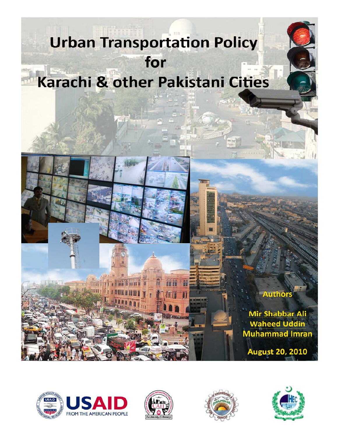# **Urban Transportation Policy** for Karachi & other Pakistani Cities









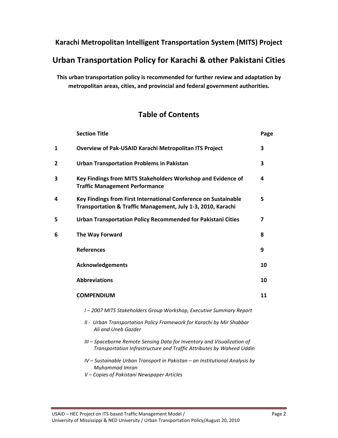## **Karachi Metropolitan Intelligent Transportation System (MITS) Project**

# **Urban Transportation Policy for Karachi & other Pakistani Cities**

**This urban transportation policy is recommended for further review and adaptation by metropolitan areas, cities, and provincial and federal government authorities.** 

# **Table of Contents**

|   | <b>Section Title</b>                                                                                                                            | Page |
|---|-------------------------------------------------------------------------------------------------------------------------------------------------|------|
| 1 | Overview of Pak-USAID Karachi Metropolitan ITS Project                                                                                          | 3    |
| 2 | <b>Urban Transportation Problems in Pakistan</b>                                                                                                | 3    |
| 3 | Key Findings from MITS Stakeholders Workshop and Evidence of<br><b>Traffic Management Performance</b>                                           | 4    |
| 4 | Key Findings from First International Conference on Sustainable<br>Transportation & Traffic Management, July 1-3, 2010, Karachi                 | 5    |
| 5 | Urban Transportation Policy Recommended for Pakistani Cities                                                                                    | 7    |
| 6 | The Way Forward                                                                                                                                 | 8    |
|   | <b>References</b>                                                                                                                               | 9    |
|   | <b>Acknowledgements</b>                                                                                                                         | 10   |
|   | <b>Abbreviations</b>                                                                                                                            | 10   |
|   | <b>COMPENDIUM</b>                                                                                                                               | 11   |
|   | I-2007 MITS Stakeholders Group Workshop, Executive Summary Report                                                                               |      |
|   | II - Urban Transportation Policy Framework for Karachi by Mir Shabbar<br>Ali and Uneb Gazder                                                    |      |
|   | III - Spaceborne Remote Sensing Data for Inventory and Visualization of<br>Transportation Infrastructure and Traffic Attributes by Waheed Uddin |      |
|   | IV - Sustainable Urban Transport in Pakistan - an Institutional Analysis by<br>Muhammad Imran<br>V - Copies of Pakistani Newspaper Articles     |      |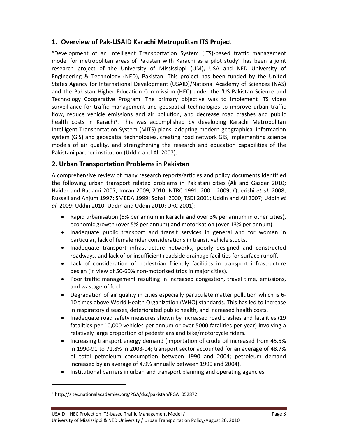## **1. Overview of Pak‐USAID Karachi Metropolitan ITS Project**

"Development of an Intelligent Transportation System (ITS)‐based traffic management model for metropolitan areas of Pakistan with Karachi as a pilot study" has been a joint research project of the University of Mississippi (UM), USA and NED University of Engineering & Technology (NED), Pakistan. This project has been funded by the United States Agency for International Development (USAID)/National Academy of Sciences (NAS) and the Pakistan Higher Education Commission (HEC) under the 'US‐Pakistan Science and Technology Cooperative Program' The primary objective was to implement ITS video surveillance for traffic management and geospatial technologies to improve urban traffic flow, reduce vehicle emissions and air pollution, and decrease road crashes and public health costs in Karachi<sup>1</sup>. This was accomplished by developing Karachi Metropolitan Intelligent Transportation System (MITS) plans, adopting modern geographical information system (GIS) and geospatial technologies, creating road network GIS, implementing science models of air quality, and strengthening the research and education capabilities of the Pakistani partner institution (Uddin and Ali 2007).

## **2. Urban Transportation Problems in Pakistan**

A comprehensive review of many research reports/articles and policy documents identified the following urban transport related problems in Pakistani cities (Ali and Gazder 2010; Haider and Badami 2007; Imran 2009, 2010; NTRC 1991, 2001, 2009; Querishi *et al.* 2008; Russell and Anjum 1997; SMEDA 1999; Sohail 2000; TSDI 2001; Uddin and Ali 2007; Uddin *et al.* 2009; Uddin 2010; Uddin and Uddin 2010; URC 2001):

- Rapid urbanisation (5% per annum in Karachi and over 3% per annum in other cities), economic growth (over 5% per annum) and motorisation (over 13% per annum).
- Inadequate public transport and transit services in general and for women in particular, lack of female rider considerations in transit vehicle stocks.
- Inadequate transport infrastructure networks, poorly designed and constructed roadways, and lack of or insufficient roadside drainage facilities for surface runoff.
- Lack of consideration of pedestrian friendly facilities in transport infrastructure design (in view of 50‐60% non‐motorised trips in major cities).
- Poor traffic management resulting in increased congestion, travel time, emissions, and wastage of fuel.
- Degradation of air quality in cities especially particulate matter pollution which is 6-10 times above World Health Organization (WHO) standards. This has led to increase in respiratory diseases, deteriorated public health, and increased health costs.
- Inadequate road safety measures shown by increased road crashes and fatalities (19 fatalities per 10,000 vehicles per annum or over 5000 fatalities per year) involving a relatively large proportion of pedestrians and bike/motorcycle riders.
- Increasing transport energy demand (importation of crude oil increased from 45.5% in 1990‐91 to 71.8% in 2003‐04; transport sector accounted for an average of 48.7% of total petroleum consumption between 1990 and 2004; petroleum demand increased by an average of 4.9% annually between 1990 and 2004).
- Institutional barriers in urban and transport planning and operating agencies.

<sup>1</sup> http://sites.nationalacademies.org/PGA/dsc/pakistan/PGA\_052872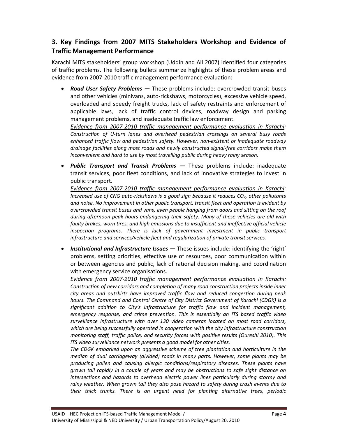## **3. Key Findings from 2007 MITS Stakeholders Workshop and Evidence of Traffic Management Performance**

Karachi MITS stakeholders' group workshop (Uddin and Ali 2007) identified four categories of traffic problems. The following bullets summarize highlights of these problem areas and evidence from 2007‐2010 traffic management performance evaluation:

 *Road User Safety Problems ―* These problems include: overcrowded transit buses and other vehicles (minivans, auto‐rickshaws, motorcycles), excessive vehicle speed, overloaded and speedy freight trucks, lack of safety restraints and enforcement of applicable laws, lack of traffic control devices, roadway design and parking management problems, and inadequate traffic law enforcement.

*Evidence from 2007‐2010 traffic management performance evaluation in Karachi: Construction of U‐turn lanes and overhead pedestrian crossings on several busy roads enhanced traffic flow and pedestrian safety. However, non‐existent or inadequate roadway drainage facilities along most roads and newly constructed signal‐free corridors make them inconvenient and hard to use by most travelling public during heavy rainy season.*

 *Public Transport and Transit Problems ―* These problems include: inadequate transit services, poor fleet conditions, and lack of innovative strategies to invest in public transport.

*Evidence from 2007‐2010 traffic management performance evaluation in Karachi: Increased use of CNG auto‐rickshaws is a good sign because it reduces CO2, other pollutants and noise. No improvement in other public transport, transit fleet and operation is evident by overcrowded transit buses and vans, even people hanging from doors and sitting on the roof during afternoon peak hours endangering their safety. Many of these vehicles are old with faulty brakes, worn tires, and high emissions due to insufficient and ineffective official vehicle inspection programs. There is lack of government investment in public transport infrastructure and services/vehicle fleet and regularization of private transit services.*

 *Institutional and Infrastructure Issues ―* These issues include: identifying the 'right' problems, setting priorities, effective use of resources, poor communication within or between agencies and public, lack of rational decision making, and coordination with emergency service organisations.

*Evidence from 2007‐2010 traffic management performance evaluation in Karachi: Construction of new corridors and completion of many road construction projects inside inner city areas and outskirts have improved traffic flow and reduced congestion during peak hours. The Command and Control Centre of City District Government of Karachi (CDGK) is a significant addition to City's infrastructure for traffic flow and incident management, emergency response, and crime prevention. This is essentially an ITS based traffic video surveillance infrastructure with over 130 video cameras located on most road corridors, which are being successfully operated in cooperation with the city infrastructure construction monitoring staff, traffic police, and security forces with positive results (Qureshi 2010). This ITS video surveillance network presents a good model for other cities.* 

*The CDGK embarked upon an aggressive scheme of tree plantation and horticulture in the median of dual carriageway (divided) roads in many parts. However, some plants may be producing pollen and causing allergic conditions/respiratory diseases. These plants have grown tall rapidly in a couple of years and may be obstructions to safe sight distance on intersections and hazards to overhead electric power lines particularly during stormy and rainy weather. When grown tall they also pose hazard to safety during crash events due to their thick trunks. There is an urgent need for planting alternative trees, periodic*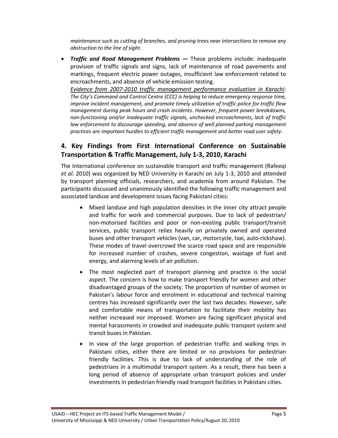*maintenance such as cutting of branches, and pruning trees near intersections to remove any obstruction to the line of sight.*

 *Traffic and Road Management Problems ―* These problems include: inadequate provision of traffic signals and signs, lack of maintenance of road pavements and markings, frequent electric power outages, insufficient law enforcement related to encroachments, and absence of vehicle emission testing.

*Evidence from 2007‐2010 traffic management performance evaluation in Karachi: The City's Command and Control Centre (CCC) is helping to reduce emergency response time, improve incident management, and promote timely utilization of traffic police for traffic flow management during peak hours and crash incidents. However, frequent power breakdowns, non‐functioning and/or inadequate traffic signals, unchecked encroachments, lack of traffic law enforcement to discourage speeding, and absence of well planned parking management practices are important hurdles to efficient traffic management and better road user safety.*

## **4. Key Findings from First International Conference on Sustainable Transportation & Traffic Management, July 1‐3, 2010, Karachi**

The International conference on sustainable transport and traffic management (Rafeeqi *et al.* 2010) was organized by NED University in Karachi on July 1‐3, 2010 and attended by transport planning officials, researchers, and academia from around Pakistan. The participants discussed and unanimously identified the following traffic management and associated landuse and development issues facing Pakistani cities:

- Mixed landuse and high population densities in the inner city attract people and traffic for work and commercial purposes. Due to lack of pedestrian/ non‐motorised facilities and poor or non‐existing public transport/transit services, public transport relies heavily on privately owned and operated buses and other transport vehicles (van, car, motorcycle, taxi, auto‐rickshaw). These modes of travel overcrowd the scarce road space and are responsible for increased number of crashes, severe congestion, wastage of fuel and energy, and alarming levels of air pollution.
- The most neglected part of transport planning and practice is the social aspect. The concern is how to make transport friendly for women and other disadvantaged groups of the society. The proportion of number of women in Pakistan's labour force and enrolment in educational and technical training centres has increased significantly over the last two decades. However, safe and comfortable means of transportation to facilitate their mobility has neither increased nor improved. Women are facing significant physical and mental harassments in crowded and inadequate public transport system and transit buses in Pakistan.
- In view of the large proportion of pedestrian traffic and walking trips in Pakistani cities, either there are limited or no provisions for pedestrian friendly facilities. This is due to lack of understanding of the role of pedestrians in a multimodal transport system. As a result, there has been a long period of absence of appropriate urban transport policies and under investments in pedestrian friendly road transport facilities in Pakistani cities.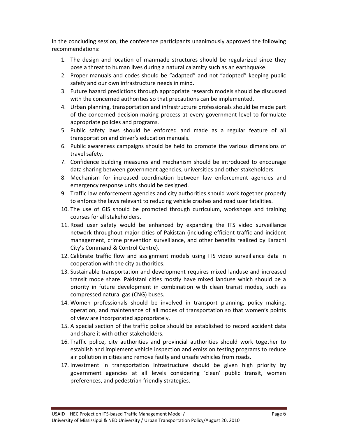In the concluding session, the conference participants unanimously approved the following recommendations:

- 1. The design and location of manmade structures should be regularized since they pose a threat to human lives during a natural calamity such as an earthquake.
- 2. Proper manuals and codes should be "adapted" and not "adopted" keeping public safety and our own infrastructure needs in mind.
- 3. Future hazard predictions through appropriate research models should be discussed with the concerned authorities so that precautions can be implemented.
- 4. Urban planning, transportation and infrastructure professionals should be made part of the concerned decision‐making process at every government level to formulate appropriate policies and programs.
- 5. Public safety laws should be enforced and made as a regular feature of all transportation and driver's education manuals.
- 6. Public awareness campaigns should be held to promote the various dimensions of travel safety.
- 7. Confidence building measures and mechanism should be introduced to encourage data sharing between government agencies, universities and other stakeholders.
- 8. Mechanism for increased coordination between law enforcement agencies and emergency response units should be designed.
- 9. Traffic law enforcement agencies and city authorities should work together properly to enforce the laws relevant to reducing vehicle crashes and road user fatalities.
- 10. The use of GIS should be promoted through curriculum, workshops and training courses for all stakeholders.
- 11. Road user safety would be enhanced by expanding the ITS video surveillance network throughout major cities of Pakistan (including efficient traffic and incident management, crime prevention surveillance, and other benefits realized by Karachi City's Command & Control Centre).
- 12. Calibrate traffic flow and assignment models using ITS video surveillance data in cooperation with the city authorities.
- 13. Sustainable transportation and development requires mixed landuse and increased transit mode share. Pakistani cities mostly have mixed landuse which should be a priority in future development in combination with clean transit modes, such as compressed natural gas (CNG) buses.
- 14. Women professionals should be involved in transport planning, policy making, operation, and maintenance of all modes of transportation so that women's points of view are incorporated appropriately.
- 15. A special section of the traffic police should be established to record accident data and share it with other stakeholders.
- 16. Traffic police, city authorities and provincial authorities should work together to establish and implement vehicle inspection and emission testing programs to reduce air pollution in cities and remove faulty and unsafe vehicles from roads.
- 17. Investment in transportation infrastructure should be given high priority by government agencies at all levels considering 'clean' public transit, women preferences, and pedestrian friendly strategies.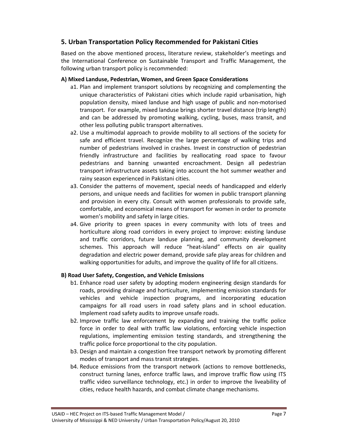## **5. Urban Transportation Policy Recommended for Pakistani Cities**

Based on the above mentioned process, literature review, stakeholder's meetings and the International Conference on Sustainable Transport and Traffic Management, the following urban transport policy is recommended:

#### **A) Mixed Landuse, Pedestrian, Women, and Green Space Considerations**

- a1. Plan and implement transport solutions by recognizing and complementing the unique characteristics of Pakistani cities which include rapid urbanisation, high population density, mixed landuse and high usage of public and non‐motorised transport. For example, mixed landuse brings shorter travel distance (trip length) and can be addressed by promoting walking, cycling, buses, mass transit, and other less polluting public transport alternatives.
- a2. Use a multimodal approach to provide mobility to all sections of the society for safe and efficient travel. Recognize the large percentage of walking trips and number of pedestrians involved in crashes. Invest in construction of pedestrian friendly infrastructure and facilities by reallocating road space to favour pedestrians and banning unwanted encroachment. Design all pedestrian transport infrastructure assets taking into account the hot summer weather and rainy season experienced in Pakistani cities.
- a3. Consider the patterns of movement, special needs of handicapped and elderly persons, and unique needs and facilities for women in public transport planning and provision in every city. Consult with women professionals to provide safe, comfortable, and economical means of transport for women in order to promote women's mobility and safety in large cities.
- a4. Give priority to green spaces in every community with lots of trees and horticulture along road corridors in every project to improve: existing landuse and traffic corridors, future landuse planning, and community development schemes. This approach will reduce "heat-island" effects on air quality degradation and electric power demand, provide safe play areas for children and walking opportunities for adults, and improve the quality of life for all citizens.

#### **B) Road User Safety, Congestion, and Vehicle Emissions**

- b1. Enhance road user safety by adopting modern engineering design standards for roads, providing drainage and horticulture, implementing emission standards for vehicles and vehicle inspection programs, and incorporating education campaigns for all road users in road safety plans and in school education. Implement road safety audits to improve unsafe roads.
- b2. Improve traffic law enforcement by expanding and training the traffic police force in order to deal with traffic law violations, enforcing vehicle inspection regulations, implementing emission testing standards, and strengthening the traffic police force proportional to the city population.
- b3. Design and maintain a congestion free transport network by promoting different modes of transport and mass transit strategies.
- b4. Reduce emissions from the transport network (actions to remove bottlenecks, construct turning lanes, enforce traffic laws, and improve traffic flow using ITS traffic video surveillance technology, etc.) in order to improve the liveability of cities, reduce health hazards, and combat climate change mechanisms.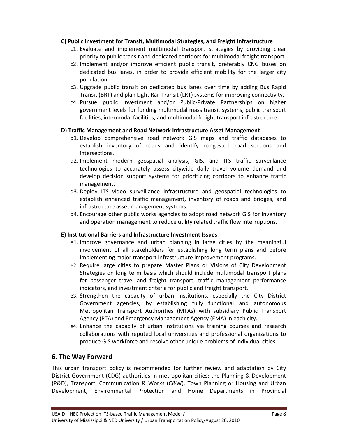#### **C) Public Investment for Transit, Multimodal Strategies, and Freight Infrastructure**

- c1. Evaluate and implement multimodal transport strategies by providing clear priority to public transit and dedicated corridors for multimodal freight transport.
- c2. Implement and/or improve efficient public transit, preferably CNG buses on dedicated bus lanes, in order to provide efficient mobility for the larger city population.
- c3. Upgrade public transit on dedicated bus lanes over time by adding Bus Rapid Transit (BRT) and plan Light Rail Transit (LRT) systems for improving connectivity.
- c4. Pursue public investment and/or Public‐Private Partnerships on higher government levels for funding multimodal mass transit systems, public transport facilities, intermodal facilities, and multimodal freight transport infrastructure.

#### **D) Traffic Management and Road Network Infrastructure Asset Management**

- d1. Develop comprehensive road network GIS maps and traffic databases to establish inventory of roads and identify congested road sections and intersections.
- d2. Implement modern geospatial analysis, GIS, and ITS traffic surveillance technologies to accurately assess citywide daily travel volume demand and develop decision support systems for prioritizing corridors to enhance traffic management.
- d3. Deploy ITS video surveillance infrastructure and geospatial technologies to establish enhanced traffic management, inventory of roads and bridges, and infrastructure asset management systems.
- d4. Encourage other public works agencies to adopt road network GIS for inventory and operation management to reduce utility related traffic flow interruptions.

#### **E) Institutional Barriers and Infrastructure Investment Issues**

- e1. Improve governance and urban planning in large cities by the meaningful involvement of all stakeholders for establishing long term plans and before implementing major transport infrastructure improvement programs.
- e2. Require large cities to prepare Master Plans or Visions of City Development Strategies on long term basis which should include multimodal transport plans for passenger travel and freight transport, traffic management performance indicators, and investment criteria for public and freight transport.
- e3. Strengthen the capacity of urban institutions, especially the City District Government agencies, by establishing fully functional and autonomous Metropolitan Transport Authorities (MTAs) with subsidiary Public Transport Agency (PTA) and Emergency Management Agency (EMA) in each city.
- e4. Enhance the capacity of urban institutions via training courses and research collaborations with reputed local universities and professional organizations to produce GIS workforce and resolve other unique problems of individual cities.

### **6. The Way Forward**

This urban transport policy is recommended for further review and adaptation by City District Government (CDG) authorities in metropolitan cities; the Planning & Development (P&D), Transport, Communication & Works (C&W), Town Planning or Housing and Urban Development, Environmental Protection and Home Departments in Provincial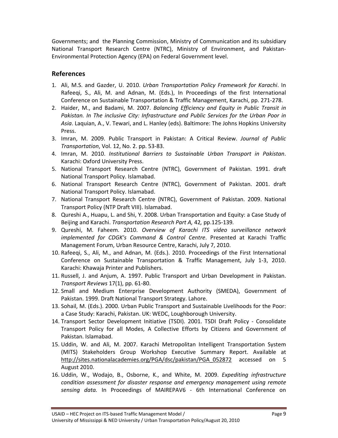Governments; and the Planning Commission, Ministry of Communication and its subsidiary National Transport Research Centre (NTRC), Ministry of Environment, and Pakistan‐ Environmental Protection Agency (EPA) on Federal Government level.

## **References**

- 1. Ali, M.S. and Gazder, U. 2010. *Urban Transportation Policy Framework for Karachi*. In Rafeeqi, S., Ali, M. and Adnan, M. (Eds.), In Proceedings of the first International Conference on Sustainable Transportation & Traffic Management, Karachi, pp. 271‐278.
- 2. Haider, M., and Badami, M. 2007. *Balancing Efficiency and Equity in Public Transit in Pakistan. In The inclusive City: Infrastructure and Public Services for the Urban Poor in Asia*. Laquian, A., V. Tewari, and L. Hanley (eds). Baltimore: The Johns Hopkins University Press.
- 3. Imran, M. 2009. Public Transport in Pakistan: A Critical Review. *Journal of Public Transportation*, Vol. 12, No. 2. pp. 53‐83.
- 4. Imran, M. 2010. *Institutional Barriers to Sustainable Urban Transport in Pakistan*. Karachi: Oxford University Press.
- 5. National Transport Research Centre (NTRC), Government of Pakistan. 1991. draft National Transport Policy. Islamabad.
- 6. National Transport Research Centre (NTRC), Government of Pakistan. 2001. draft National Transport Policy. Islamabad.
- 7. National Transport Research Centre (NTRC), Government of Pakistan. 2009. National Transport Policy (NTP Draft VIII). Islamabad.
- 8. Qureshi A., Huapu, L. and Shi, Y. 2008. Urban Transportation and Equity: a Case Study of Beijing and Karachi. *Transportation Research Part A,* 42*,* pp.125*‐*139*.*
- 9. Qureshi, M. Faheem. 2010. *Overview of Karachi ITS video surveillance network implemented for CDGK's Command & Control Centre*. Presented at Karachi Traffic Management Forum, Urban Resource Centre, Karachi, July 7, 2010.
- 10. Rafeeqi, S., Ali, M., and Adnan, M. (Eds.). 2010. Proceedings of the First International Conference on Sustainable Transportation & Traffic Management, July 1‐3, 2010. Karachi: Khawaja Printer and Publishers.
- 11. Russell, J. and Anjum, A. 1997. Public Transport and Urban Development in Pakistan. *Transport Reviews* 17(1), pp. 61‐80.
- 12. Small and Medium Enterprise Development Authority (SMEDA), Government of Pakistan. 1999. Draft National Transport Strategy. Lahore.
- 13. Sohail, M. (Eds.). 2000. Urban Public Transport and Sustainable Livelihoods for the Poor: a Case Study: Karachi, Pakistan. UK: WEDC, Loughborough University.
- 14. Transport Sector Development Initiative (TSDI). 2001. TSDI Draft Policy ‐ Consolidate Transport Policy for all Modes, A Collective Efforts by Citizens and Government of Pakistan. Islamabad.
- 15. Uddin, W. and Ali, M. 2007. Karachi Metropolitan Intelligent Transportation System (MITS) Stakeholders Group Workshop Executive Summary Report. Available at http://sites.nationalacademies.org/PGA/dsc/pakistan/PGA\_052872 accessed on 5 August 2010.
- 16. Uddin, W., Wodajo, B., Osborne, K., and White, M. 2009. *Expediting infrastructure condition assessment for disaster response and emergency management using remote sensing data.* In Proceedings of MAIREPAV6 ‐ 6th International Conference on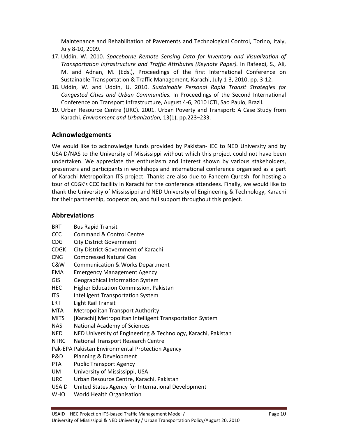Maintenance and Rehabilitation of Pavements and Technological Control, Torino, Italy, July 8‐10, 2009.

- 17. Uddin, W. 2010. *Spaceborne Remote Sensing Data for Inventory and Visualization of Transportation Infrastructure and Traffic Attributes (Keynote Paper).* In Rafeeqi, S., Ali, M. and Adnan, M. (Eds.), Proceedings of the first International Conference on Sustainable Transportation & Traffic Management, Karachi, July 1‐3, 2010, pp. 3‐12.
- 18. Uddin, W. and Uddin, U. 2010. *Sustainable Personal Rapid Transit Strategies for Congested Cities and Urban Communities.* In Proceedings of the Second International Conference on Transport Infrastructure, August 4‐6, 2010 ICTI, Sao Paulo, Brazil.
- 19. Urban Resource Centre (URC). 2001. Urban Poverty and Transport: A Case Study from Karachi. *Environment and Urbanization,* 13(1), pp.223–233.

## **Acknowledgements**

We would like to acknowledge funds provided by Pakistan‐HEC to NED University and by USAID/NAS to the University of Mississippi without which this project could not have been undertaken. We appreciate the enthusiasm and interest shown by various stakeholders, presenters and participants in workshops and international conference organised as a part of Karachi Metropolitan ITS project. Thanks are also due to Faheem Qureshi for hosting a tour of CDGK's CCC facility in Karachi for the conference attendees. Finally, we would like to thank the University of Mississippi and NED University of Engineering & Technology, Karachi for their partnership, cooperation, and full support throughout this project.

## **Abbreviations**

- BRT Bus Rapid Transit
- CCC Command & Control Centre
- CDG City District Government
- CDGK City District Government of Karachi
- CNG Compressed Natural Gas
- C&W Communication & Works Department
- EMA Emergency Management Agency
- GIS Geographical Information System
- HEC Higher Education Commission, Pakistan
- ITS Intelligent Transportation System
- LRT Light Rail Transit
- MTA Metropolitan Transport Authority
- MITS [Karachi] Metropolitan Intelligent Transportation System
- NAS National Academy of Sciences
- NED NED University of Engineering & Technology, Karachi, Pakistan
- NTRC National Transport Research Centre
- Pak‐EPA Pakistan Environmental Protection Agency
- P&D Planning & Development
- PTA Public Transport Agency
- UM University of Mississippi, USA
- URC Urban Resource Centre, Karachi, Pakistan
- USAID United States Agency for International Development
- WHO World Health Organisation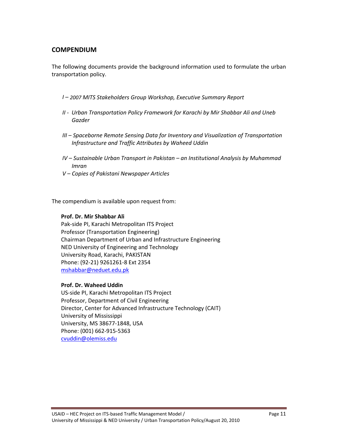## **COMPENDIUM**

The following documents provide the background information used to formulate the urban transportation policy.

- *I – 2007 MITS Stakeholders Group Workshop, Executive Summary Report*
- *II ‐ Urban Transportation Policy Framework for Karachi by Mir Shabbar Ali and Uneb Gazder*
- *III – Spaceborne Remote Sensing Data for Inventory and Visualization of Transportation Infrastructure and Traffic Attributes by Waheed Uddin*
- *IV – Sustainable Urban Transport in Pakistan – an Institutional Analysis by Muhammad Imran*
- *V – Copies of Pakistani Newspaper Articles*

The compendium is available upon request from:

#### **Prof. Dr. Mir Shabbar Ali**

Pak‐side PI, Karachi Metropolitan ITS Project Professor (Transportation Engineering) Chairman Department of Urban and Infrastructure Engineering NED University of Engineering and Technology University Road, Karachi, PAKISTAN Phone: (92‐21) 9261261‐8 Ext 2354 mshabbar@neduet.edu.pk

#### **Prof. Dr. Waheed Uddin**

US‐side PI, Karachi Metropolitan ITS Project Professor, Department of Civil Engineering Director, Center for Advanced Infrastructure Technology (CAIT) University of Mississippi University, MS 38677‐1848, USA Phone: (001) 662‐915‐5363 cvuddin@olemiss.edu